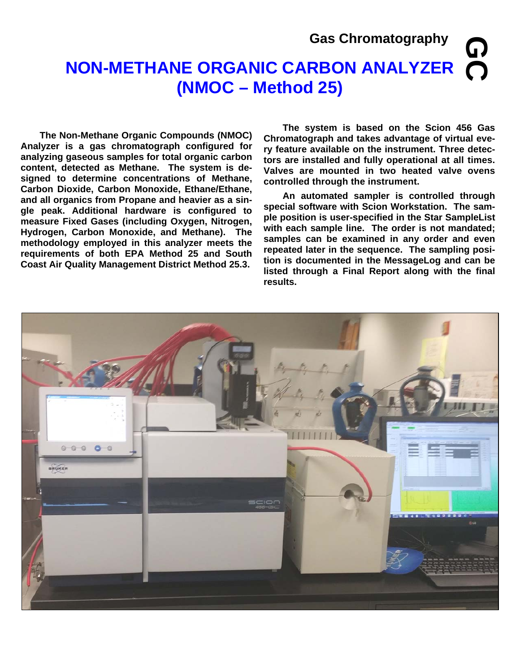#### **Gas Chromatography**

## **NON-METHANE ORGANIC CARBON ANALYZER (NMOC – Method 25) GC**

**The Non-Methane Organic Compounds (NMOC) Analyzer is a gas chromatograph configured for analyzing gaseous samples for total organic carbon content, detected as Methane. The system is designed to determine concentrations of Methane, Carbon Dioxide, Carbon Monoxide, Ethane/Ethane, and all organics from Propane and heavier as a single peak. Additional hardware is configured to measure Fixed Gases (including Oxygen, Nitrogen, Hydrogen, Carbon Monoxide, and Methane). The methodology employed in this analyzer meets the requirements of both EPA Method 25 and South Coast Air Quality Management District Method 25.3.** 

 **The system is based on the Scion 456 Gas Chromatograph and takes advantage of virtual every feature available on the instrument. Three detectors are installed and fully operational at all times. Valves are mounted in two heated valve ovens controlled through the instrument.** 

**An automated sampler is controlled through special software with Scion Workstation. The sample position is user-specified in the Star SampleList with each sample line. The order is not mandated; samples can be examined in any order and even repeated later in the sequence. The sampling position is documented in the MessageLog and can be listed through a Final Report along with the final results.** 

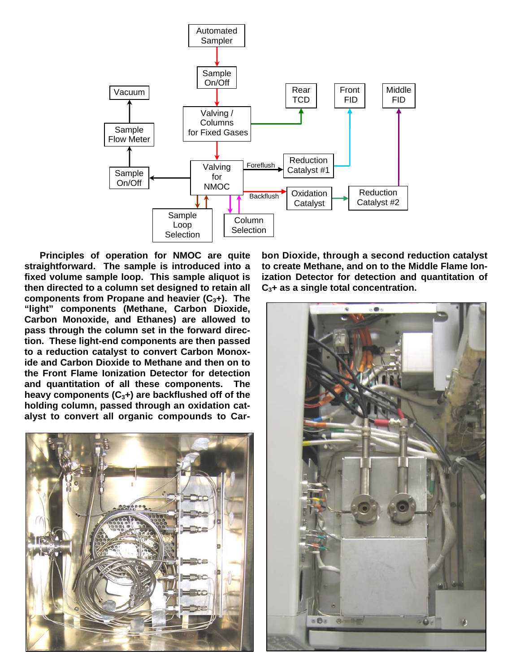

 **Principles of operation for NMOC are quite straightforward. The sample is introduced into a fixed volume sample loop. This sample aliquot is then directed to a column set designed to retain all components from Propane and heavier (C3+). The "light" components (Methane, Carbon Dioxide, Carbon Monoxide, and Ethanes) are allowed to pass through the column set in the forward direction. These light-end components are then passed to a reduction catalyst to convert Carbon Monoxide and Carbon Dioxide to Methane and then on to the Front Flame Ionization Detector for detection and quantitation of all these components. The heavy components (C3+) are backflushed off of the holding column, passed through an oxidation catalyst to convert all organic compounds to Car-**



**bon Dioxide, through a second reduction catalyst to create Methane, and on to the Middle Flame Ionization Detector for detection and quantitation of C3+ as a single total concentration.**

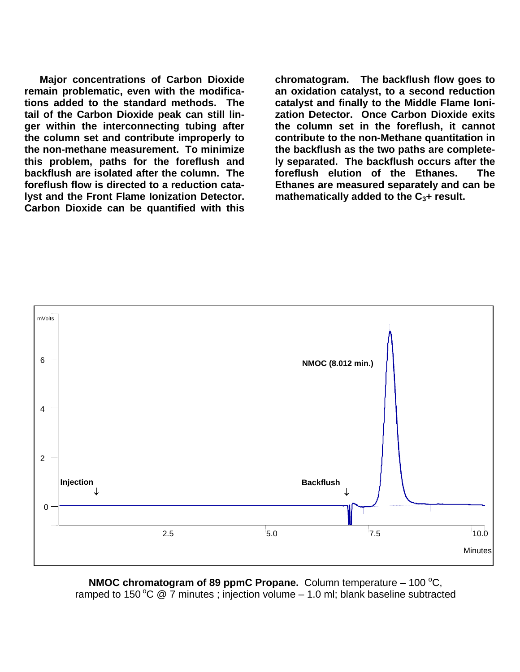**Major concentrations of Carbon Dioxide remain problematic, even with the modifications added to the standard methods. The tail of the Carbon Dioxide peak can still linger within the interconnecting tubing after the column set and contribute improperly to the non-methane measurement. To minimize this problem, paths for the foreflush and backflush are isolated after the column. The foreflush flow is directed to a reduction catalyst and the Front Flame Ionization Detector. Carbon Dioxide can be quantified with this** 

**chromatogram. The backflush flow goes to an oxidation catalyst, to a second reduction catalyst and finally to the Middle Flame Ionization Detector. Once Carbon Dioxide exits the column set in the foreflush, it cannot contribute to the non-Methane quantitation in the backflush as the two paths are completely separated. The backflush occurs after the foreflush elution of the Ethanes. The Ethanes are measured separately and can be**  mathematically added to the C<sub>3</sub>+ result.



**NMOC chromatogram of 89 ppmC Propane.** Column temperature – 100 °C, ramped to 150 °C  $\ddot{\text{o}}$  7 minutes ; injection volume – 1.0 ml; blank baseline subtracted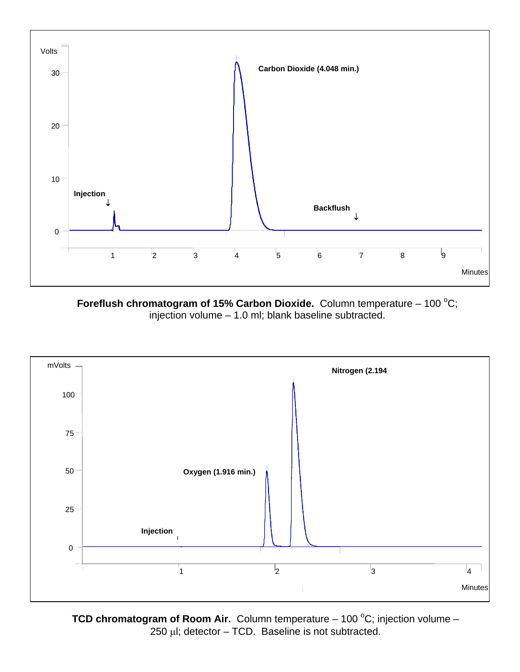

Foreflush chromatogram of 15% Carbon Dioxide. Column temperature - 100 °C; injection volume – 1.0 ml; blank baseline subtracted.



**TCD chromatogram of Room Air.** Column temperature – 100 °C; injection volume –  $250$  µl; detector – TCD. Baseline is not subtracted.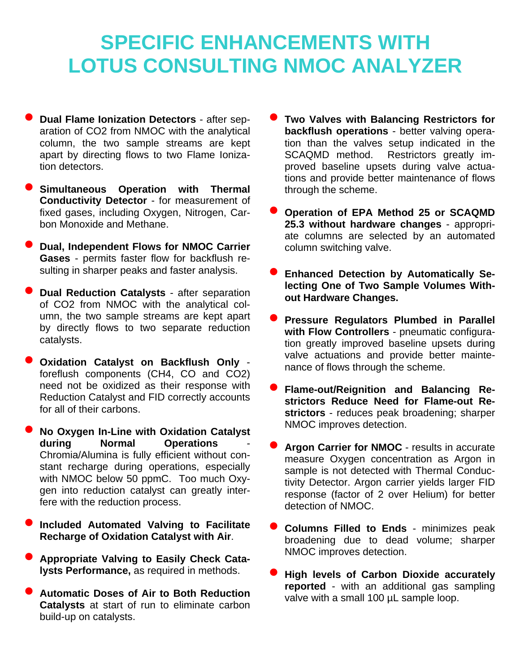## **SPECIFIC ENHANCEMENTS WITH LOTUS CONSULTING NMOC ANALYZER**

- **Dual Flame Ionization Detectors** after separation of CO2 from NMOC with the analytical column, the two sample streams are kept apart by directing flows to two Flame Ionization detectors.
- **Simultaneous Operation with Thermal Conductivity Detector** - for measurement of fixed gases, including Oxygen, Nitrogen, Carbon Monoxide and Methane.
- **Dual, Independent Flows for NMOC Carrier Gases** - permits faster flow for backflush resulting in sharper peaks and faster analysis.
- **Dual Reduction Catalysts** after separation of CO2 from NMOC with the analytical column, the two sample streams are kept apart by directly flows to two separate reduction catalysts.
- **Oxidation Catalyst on Backflush Only** foreflush components (CH4, CO and CO2) need not be oxidized as their response with Reduction Catalyst and FID correctly accounts for all of their carbons.
- **No Oxygen In-Line with Oxidation Catalyst Operations** Chromia/Alumina is fully efficient without constant recharge during operations, especially with NMOC below 50 ppmC. Too much Oxygen into reduction catalyst can greatly interfere with the reduction process.
- **Included Automated Valving to Facilitate Recharge of Oxidation Catalyst with Air**.
- **Appropriate Valving to Easily Check Catalysts Performance,** as required in methods.
- **Automatic Doses of Air to Both Reduction Catalysts** at start of run to eliminate carbon build-up on catalysts.
- **Two Valves with Balancing Restrictors for backflush operations** - better valving operation than the valves setup indicated in the SCAQMD method. Restrictors greatly improved baseline upsets during valve actuations and provide better maintenance of flows through the scheme.
- **Operation of EPA Method 25 or SCAQMD 25.3 without hardware changes** - appropriate columns are selected by an automated column switching valve.
- **Enhanced Detection by Automatically Selecting One of Two Sample Volumes Without Hardware Changes.**
- **Pressure Regulators Plumbed in Parallel with Flow Controllers** - pneumatic configuration greatly improved baseline upsets during valve actuations and provide better maintenance of flows through the scheme.
- **Flame-out/Reignition and Balancing Restrictors Reduce Need for Flame-out Restrictors** - reduces peak broadening; sharper NMOC improves detection.
- **Argon Carrier for NMOC** results in accurate measure Oxygen concentration as Argon in sample is not detected with Thermal Conductivity Detector. Argon carrier yields larger FID response (factor of 2 over Helium) for better detection of NMOC.
- **Columns Filled to Ends** minimizes peak broadening due to dead volume; sharper NMOC improves detection.
- **High levels of Carbon Dioxide accurately reported** - with an additional gas sampling valve with a small 100 µL sample loop.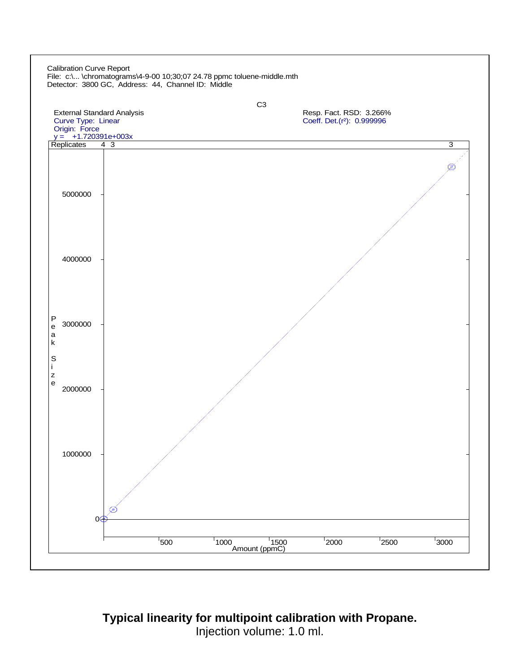

**Typical linearity for multipoint calibration with Propane.**  Injection volume: 1.0 ml.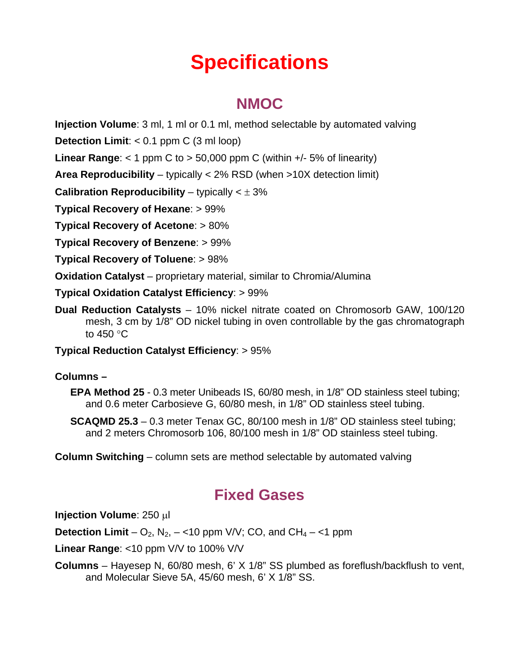# **Specifications**

### **NMOC**

**Injection Volume**: 3 ml, 1 ml or 0.1 ml, method selectable by automated valving

**Detection Limit**: < 0.1 ppm C (3 ml loop)

**Linear Range:**  $<$  1 ppm C to  $>$  50,000 ppm C (within  $+/-$  5% of linearity)

**Area Reproducibility** – typically < 2% RSD (when >10X detection limit)

**Calibration Reproducibility** – typically  $\lt \pm 3\%$ 

**Typical Recovery of Hexane**: > 99%

**Typical Recovery of Acetone**: > 80%

**Typical Recovery of Benzene**: > 99%

**Typical Recovery of Toluene**: > 98%

**Oxidation Catalyst** – proprietary material, similar to Chromia/Alumina

**Typical Oxidation Catalyst Efficiency**: > 99%

**Dual Reduction Catalysts** – 10% nickel nitrate coated on Chromosorb GAW, 100/120 mesh, 3 cm by 1/8" OD nickel tubing in oven controllable by the gas chromatograph to  $450 °C$ 

#### **Typical Reduction Catalyst Efficiency**: > 95%

#### **Columns –**

- **EPA Method 25** 0.3 meter Unibeads IS, 60/80 mesh, in 1/8" OD stainless steel tubing; and 0.6 meter Carbosieve G, 60/80 mesh, in 1/8" OD stainless steel tubing.
- **SCAQMD 25.3** 0.3 meter Tenax GC, 80/100 mesh in 1/8" OD stainless steel tubing; and 2 meters Chromosorb 106, 80/100 mesh in 1/8" OD stainless steel tubing.

**Column Switching** – column sets are method selectable by automated valving

#### **Fixed Gases**

**Injection Volume: 250 µl** 

**Detection Limit** –  $O_2$ ,  $N_2$ , – <10 ppm  $V/V$ ; CO, and CH<sub>4</sub> – <1 ppm

**Linear Range**: <10 ppm V/V to 100% V/V

**Columns** – Hayesep N, 60/80 mesh, 6' X 1/8" SS plumbed as foreflush/backflush to vent, and Molecular Sieve 5A, 45/60 mesh, 6' X 1/8" SS.